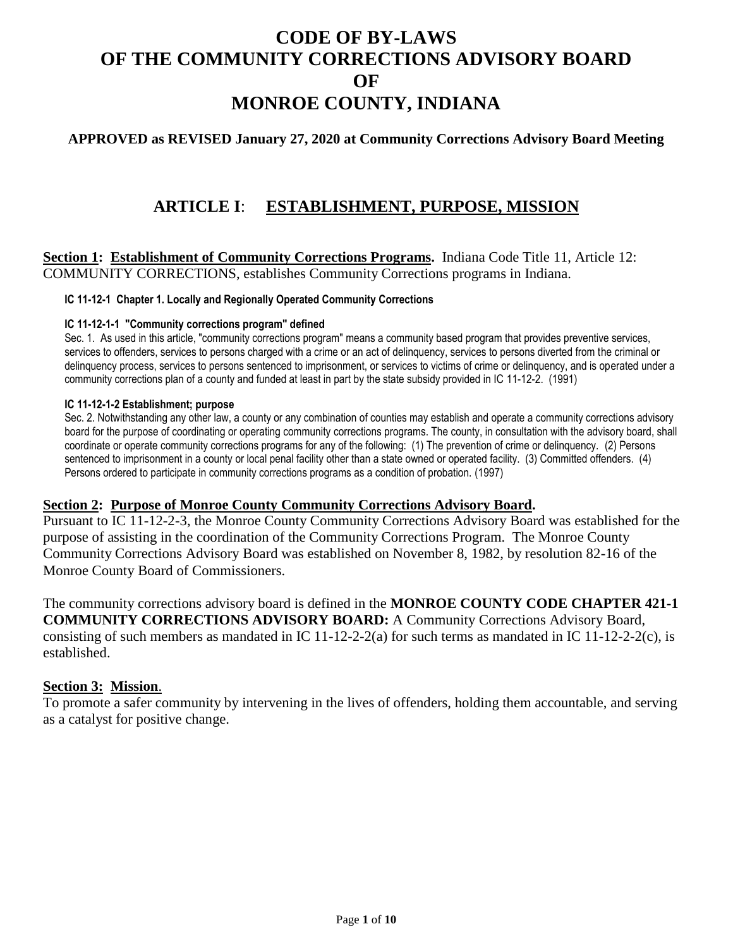# **CODE OF BY-LAWS OF THE COMMUNITY CORRECTIONS ADVISORY BOARD OF MONROE COUNTY, INDIANA**

## **APPROVED as REVISED January 27, 2020 at Community Corrections Advisory Board Meeting**

## **ARTICLE I**: **ESTABLISHMENT, PURPOSE, MISSION**

**Section 1: Establishment of Community Corrections Programs.** Indiana Code Title 11, Article 12: COMMUNITY CORRECTIONS, establishes Community Corrections programs in Indiana.

#### **IC 11-12-1 Chapter 1. Locally and Regionally Operated Community Corrections**

#### **IC 11-12-1-1 "Community corrections program" defined**

Sec. 1. As used in this article, "community corrections program" means a community based program that provides preventive services, services to offenders, services to persons charged with a crime or an act of delinquency, services to persons diverted from the criminal or delinquency process, services to persons sentenced to imprisonment, or services to victims of crime or delinquency, and is operated under a community corrections plan of a county and funded at least in part by the state subsidy provided in IC 11-12-2. (1991)

#### **IC 11-12-1-2 Establishment; purpose**

Sec. 2. Notwithstanding any other law, a county or any combination of counties may establish and operate a community corrections advisory board for the purpose of coordinating or operating community corrections programs. The county, in consultation with the advisory board, shall coordinate or operate community corrections programs for any of the following: (1) The prevention of crime or delinquency. (2) Persons sentenced to imprisonment in a county or local penal facility other than a state owned or operated facility. (3) Committed offenders. (4) Persons ordered to participate in community corrections programs as a condition of probation. (1997)

#### **Section 2: Purpose of Monroe County Community Corrections Advisory Board.**

Pursuant to IC 11-12-2-3, the Monroe County Community Corrections Advisory Board was established for the purpose of assisting in the coordination of the Community Corrections Program. The Monroe County Community Corrections Advisory Board was established on November 8, 1982, by resolution 82-16 of the Monroe County Board of Commissioners.

The community corrections advisory board is defined in the **MONROE COUNTY CODE CHAPTER 421-1 COMMUNITY CORRECTIONS ADVISORY BOARD:** A Community Corrections Advisory Board, consisting of such members as mandated in IC 11-12-2-2(a) for such terms as mandated in IC 11-12-2-2(c), is established.

#### **Section 3: Mission**.

To promote a safer community by intervening in the lives of offenders, holding them accountable, and serving as a catalyst for positive change.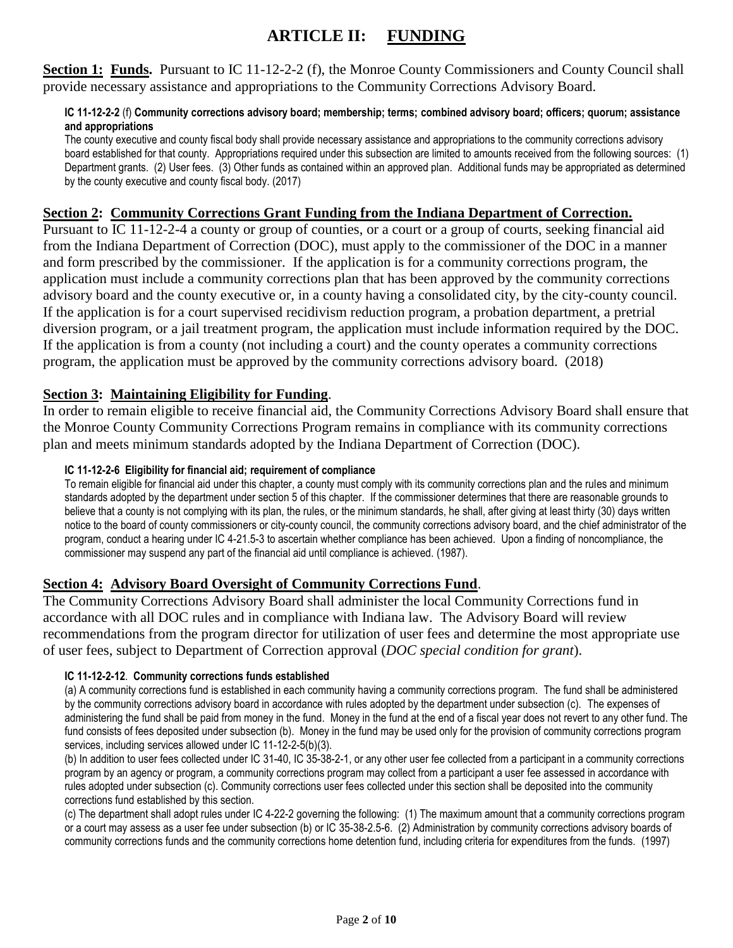## **ARTICLE II: FUNDING**

**Section 1: Funds.** Pursuant to IC 11-12-2-2 (f), the Monroe County Commissioners and County Council shall provide necessary assistance and appropriations to the Community Corrections Advisory Board.

#### **IC 11-12-2-2** (f) **Community corrections advisory board; membership; terms; combined advisory board; officers; quorum; assistance and appropriations**

The county executive and county fiscal body shall provide necessary assistance and appropriations to the community corrections advisory board established for that county. Appropriations required under this subsection are limited to amounts received from the following sources: (1) Department grants. (2) User fees. (3) Other funds as contained within an approved plan. Additional funds may be appropriated as determined by the county executive and county fiscal body. (2017)

## **Section 2: Community Corrections Grant Funding from the Indiana Department of Correction.**

Pursuant to IC 11-12-2-4 a county or group of counties, or a court or a group of courts, seeking financial aid from the Indiana Department of Correction (DOC), must apply to the commissioner of the DOC in a manner and form prescribed by the commissioner. If the application is for a community corrections program, the application must include a community corrections plan that has been approved by the community corrections advisory board and the county executive or, in a county having a consolidated city, by the city-county council. If the application is for a court supervised recidivism reduction program, a probation department, a pretrial diversion program, or a jail treatment program, the application must include information required by the DOC. If the application is from a county (not including a court) and the county operates a community corrections program, the application must be approved by the community corrections advisory board. (2018)

## **Section 3: Maintaining Eligibility for Funding**.

In order to remain eligible to receive financial aid, the Community Corrections Advisory Board shall ensure that the Monroe County Community Corrections Program remains in compliance with its community corrections plan and meets minimum standards adopted by the Indiana Department of Correction (DOC).

#### **IC 11-12-2-6 Eligibility for financial aid; requirement of compliance**

To remain eligible for financial aid under this chapter, a county must comply with its community corrections plan and the rules and minimum standards adopted by the department under section 5 of this chapter. If the commissioner determines that there are reasonable grounds to believe that a county is not complying with its plan, the rules, or the minimum standards, he shall, after giving at least thirty (30) days written notice to the board of county commissioners or city-county council, the community corrections advisory board, and the chief administrator of the program, conduct a hearing under IC 4-21.5-3 to ascertain whether compliance has been achieved. Upon a finding of noncompliance, the commissioner may suspend any part of the financial aid until compliance is achieved. (1987).

### **Section 4: Advisory Board Oversight of Community Corrections Fund**.

The Community Corrections Advisory Board shall administer the local Community Corrections fund in accordance with all DOC rules and in compliance with Indiana law. The Advisory Board will review recommendations from the program director for utilization of user fees and determine the most appropriate use of user fees, subject to Department of Correction approval (*DOC special condition for grant*).

#### **IC 11-12-2-12**. **Community corrections funds established**

(a) A community corrections fund is established in each community having a community corrections program. The fund shall be administered by the community corrections advisory board in accordance with rules adopted by the department under subsection (c). The expenses of administering the fund shall be paid from money in the fund. Money in the fund at the end of a fiscal year does not revert to any other fund. The fund consists of fees deposited under subsection (b). Money in the fund may be used only for the provision of community corrections program services, including services allowed under IC 11-12-2-5(b)(3).

(b) In addition to user fees collected under IC 31-40, IC 35-38-2-1, or any other user fee collected from a participant in a community corrections program by an agency or program, a community corrections program may collect from a participant a user fee assessed in accordance with rules adopted under subsection (c). Community corrections user fees collected under this section shall be deposited into the community corrections fund established by this section.

(c) The department shall adopt rules under IC 4-22-2 governing the following: (1) The maximum amount that a community corrections program or a court may assess as a user fee under subsection (b) or IC 35-38-2.5-6. (2) Administration by community corrections advisory boards of community corrections funds and the community corrections home detention fund, including criteria for expenditures from the funds. (1997)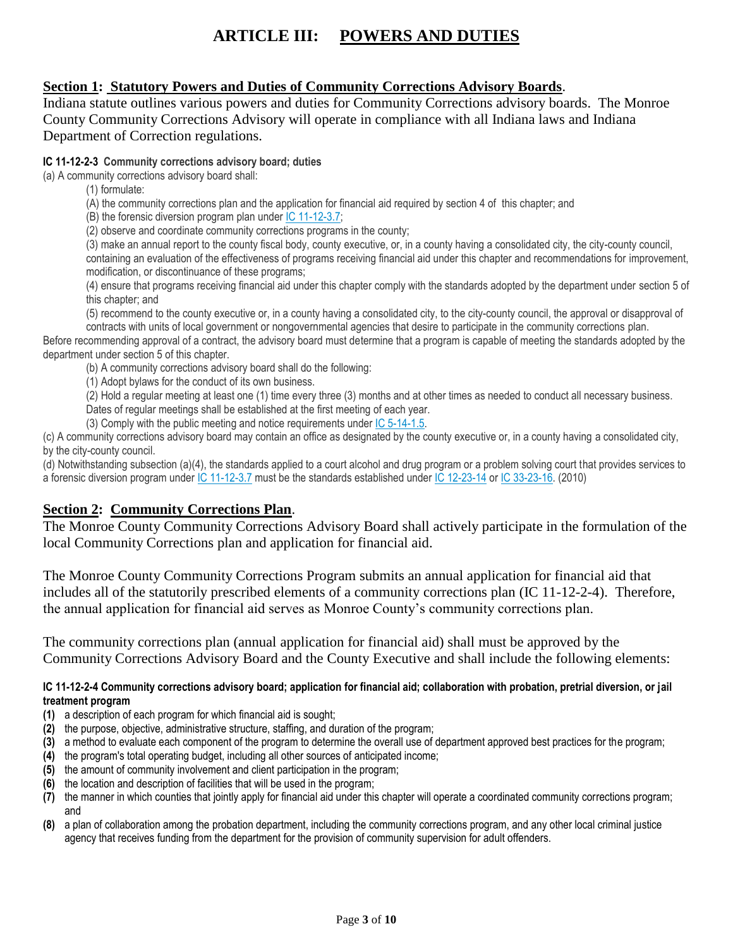# **ARTICLE III: POWERS AND DUTIES**

## **Section 1: Statutory Powers and Duties of Community Corrections Advisory Boards**.

Indiana statute outlines various powers and duties for Community Corrections advisory boards. The Monroe County Community Corrections Advisory will operate in compliance with all Indiana laws and Indiana Department of Correction regulations.

#### **IC 11-12-2-3 Community corrections advisory board; duties**

(a) A community corrections advisory board shall:

- (1) formulate:
- (A) the community corrections plan and the application for financial aid required by section 4 of this chapter; and
- (B) the forensic diversion program plan under [IC 11-12-3.7;](http://iga.in.gov/legislative/laws/2017/ic/titles/011/#11-12-3.7)
- (2) observe and coordinate community corrections programs in the county;

(3) make an annual report to the county fiscal body, county executive, or, in a county having a consolidated city, the city-county council, containing an evaluation of the effectiveness of programs receiving financial aid under this chapter and recommendations for improvement, modification, or discontinuance of these programs;

(4) ensure that programs receiving financial aid under this chapter comply with the standards adopted by the department under section 5 of this chapter; and

(5) recommend to the county executive or, in a county having a consolidated city, to the city-county council, the approval or disapproval of contracts with units of local government or nongovernmental agencies that desire to participate in the community corrections plan.

Before recommending approval of a contract, the advisory board must determine that a program is capable of meeting the standards adopted by the department under section 5 of this chapter.

(b) A community corrections advisory board shall do the following:

(1) Adopt bylaws for the conduct of its own business.

(2) Hold a regular meeting at least one (1) time every three (3) months and at other times as needed to conduct all necessary business. Dates of regular meetings shall be established at the first meeting of each year.

(3) Comply with the public meeting and notice requirements under [IC 5-14-1.5.](http://iga.in.gov/legislative/laws/2017/ic/titles/011/#5-14-1.5)

(c) A community corrections advisory board may contain an office as designated by the county executive or, in a county having a consolidated city, by the city-county council.

(d) Notwithstanding subsection (a)(4), the standards applied to a court alcohol and drug program or a problem solving court that provides services to a forensic diversion program under [IC 11-12-3.7](http://iga.in.gov/legislative/laws/2017/ic/titles/011/#11-12-3.7) must be the standards established under [IC 12-23-14](http://iga.in.gov/legislative/laws/2017/ic/titles/011/#12-23-14) or [IC 33-23-16.](http://iga.in.gov/legislative/laws/2017/ic/titles/011/#33-23-16) (2010)

### **Section 2: Community Corrections Plan**.

The Monroe County Community Corrections Advisory Board shall actively participate in the formulation of the local Community Corrections plan and application for financial aid.

The Monroe County Community Corrections Program submits an annual application for financial aid that includes all of the statutorily prescribed elements of a community corrections plan (IC 11-12-2-4). Therefore, the annual application for financial aid serves as Monroe County's community corrections plan.

The community corrections plan (annual application for financial aid) shall must be approved by the Community Corrections Advisory Board and the County Executive and shall include the following elements:

#### **IC 11-12-2-4 Community corrections advisory board; application for financial aid; collaboration with probation, pretrial diversion, or jail treatment program**

- **(1)** a description of each program for which financial aid is sought;
- **(2)** the purpose, objective, administrative structure, staffing, and duration of the program;
- **(3)** a method to evaluate each component of the program to determine the overall use of department approved best practices for the program;
- **(4)** the program's total operating budget, including all other sources of anticipated income;
- **(5)** the amount of community involvement and client participation in the program;
- **(6)** the location and description of facilities that will be used in the program;
- **(7)** the manner in which counties that jointly apply for financial aid under this chapter will operate a coordinated community corrections program; and
- **(8)** a plan of collaboration among the probation department, including the community corrections program, and any other local criminal justice agency that receives funding from the department for the provision of community supervision for adult offenders.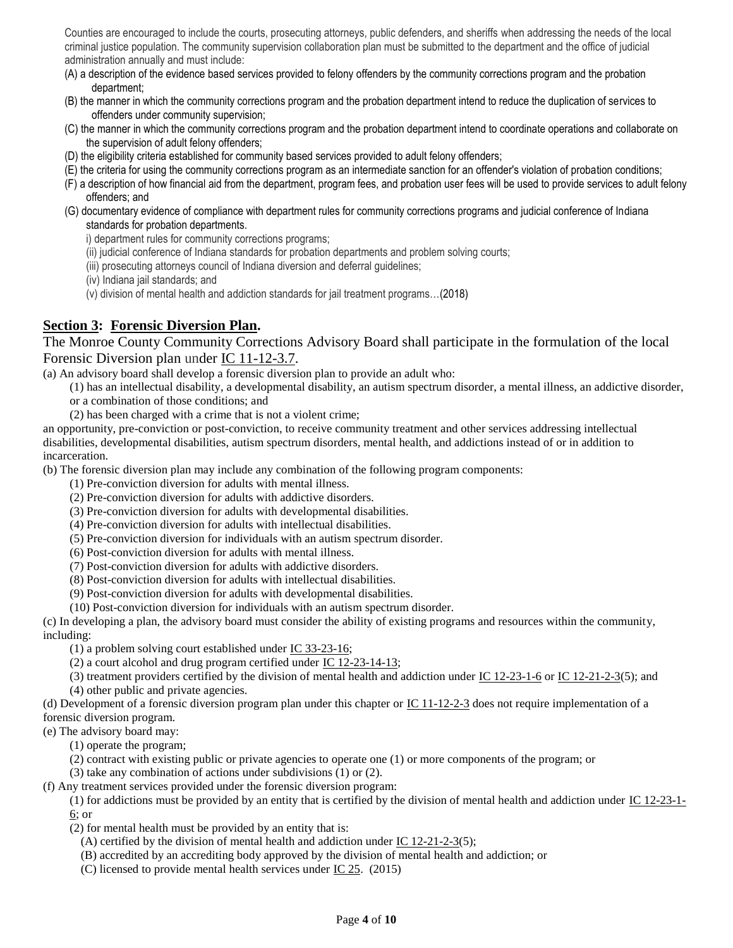Counties are encouraged to include the courts, prosecuting attorneys, public defenders, and sheriffs when addressing the needs of the local criminal justice population. The community supervision collaboration plan must be submitted to the department and the office of judicial administration annually and must include:

- (A) a description of the evidence based services provided to felony offenders by the community corrections program and the probation department;
- (B) the manner in which the community corrections program and the probation department intend to reduce the duplication of services to offenders under community supervision;
- (C) the manner in which the community corrections program and the probation department intend to coordinate operations and collaborate on the supervision of adult felony offenders;
- (D) the eligibility criteria established for community based services provided to adult felony offenders;
- (E) the criteria for using the community corrections program as an intermediate sanction for an offender's violation of probation conditions;
- (F) a description of how financial aid from the department, program fees, and probation user fees will be used to provide services to adult felony offenders; and
- (G) documentary evidence of compliance with department rules for community corrections programs and judicial conference of Indiana standards for probation departments.

i) department rules for community corrections programs;

- (ii) judicial conference of Indiana standards for probation departments and problem solving courts;
- (iii) prosecuting attorneys council of Indiana diversion and deferral guidelines;
- (iv) Indiana jail standards; and
- (v) division of mental health and addiction standards for jail treatment programs…(2018)

### **Section 3: Forensic Diversion Plan.**

The Monroe County Community Corrections Advisory Board shall participate in the formulation of the local Forensic Diversion plan under [IC 11-12-3.7.](http://iga.in.gov/legislative/laws/2017/ic/titles/011/#11-12-3.7)

(a) An advisory board shall develop a forensic diversion plan to provide an adult who:

- (1) has an intellectual disability, a developmental disability, an autism spectrum disorder, a mental illness, an addictive disorder, or a combination of those conditions; and
- (2) has been charged with a crime that is not a violent crime;

an opportunity, pre-conviction or post-conviction, to receive community treatment and other services addressing intellectual disabilities, developmental disabilities, autism spectrum disorders, mental health, and addictions instead of or in addition to incarceration.

(b) The forensic diversion plan may include any combination of the following program components:

- (1) Pre-conviction diversion for adults with mental illness.
- (2) Pre-conviction diversion for adults with addictive disorders.
- (3) Pre-conviction diversion for adults with developmental disabilities.
- (4) Pre-conviction diversion for adults with intellectual disabilities.
- (5) Pre-conviction diversion for individuals with an autism spectrum disorder.
- (6) Post-conviction diversion for adults with mental illness.
- (7) Post-conviction diversion for adults with addictive disorders.
- (8) Post-conviction diversion for adults with intellectual disabilities.
- (9) Post-conviction diversion for adults with developmental disabilities.

(10) Post-conviction diversion for individuals with an autism spectrum disorder.

(c) In developing a plan, the advisory board must consider the ability of existing programs and resources within the community, including:

(1) a problem solving court established under [IC 33-23-16;](http://iga.in.gov/legislative/laws/2019/ic/titles/011/#33-23-16)

(2) a court alcohol and drug program certified under [IC 12-23-14-13;](http://iga.in.gov/legislative/laws/2019/ic/titles/011/#12-23-14-13)

(3) treatment providers certified by the division of mental health and addiction under [IC 12-23-1-6](http://iga.in.gov/legislative/laws/2019/ic/titles/011/#12-23-1-6) or [IC 12-21-2-3\(](http://iga.in.gov/legislative/laws/2019/ic/titles/011/#12-21-2-3)5); and (4) other public and private agencies.

(d) Development of a forensic diversion program plan under this chapter or IC  $11-12-2-3$  does not require implementation of a forensic diversion program.

(e) The advisory board may:

(1) operate the program;

(2) contract with existing public or private agencies to operate one (1) or more components of the program; or

(3) take any combination of actions under subdivisions (1) or (2).

(f) Any treatment services provided under the forensic diversion program:

(1) for addictions must be provided by an entity that is certified by the division of mental health and addiction under  $\underline{IC}$  12-23-1-[6;](http://iga.in.gov/legislative/laws/2019/ic/titles/011/#12-23-1-6) or

(2) for mental health must be provided by an entity that is:

(A) certified by the division of mental health and addiction under  $\underline{IC}$  12-21-2-3(5);

(B) accredited by an accrediting body approved by the division of mental health and addiction; or

(C) licensed to provide mental health services under  $\underline{IC}$  25. (2015)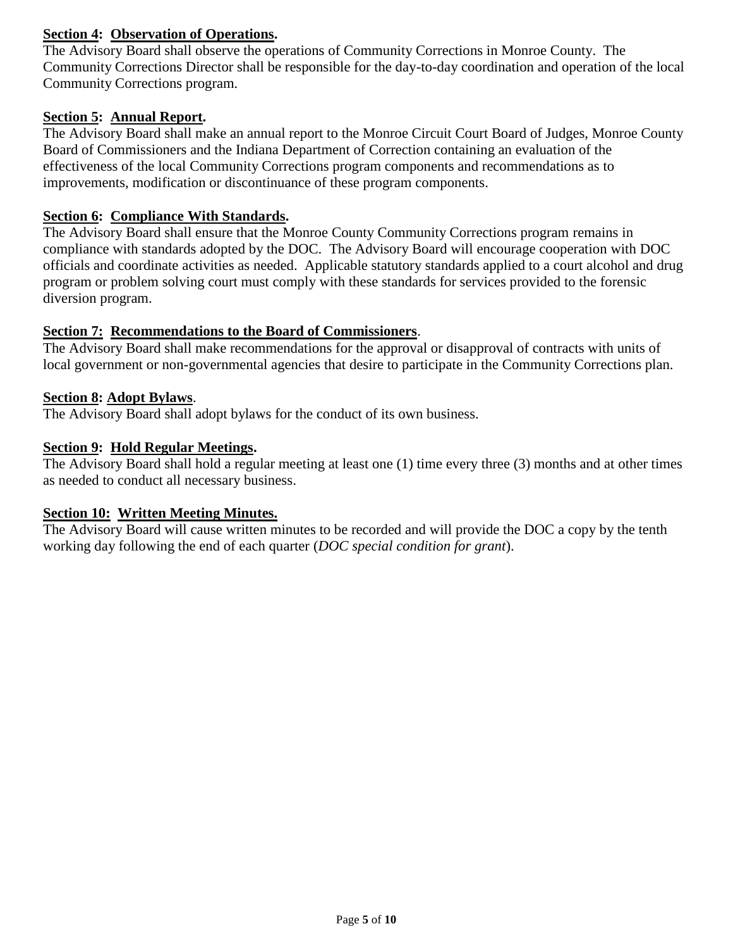## **Section 4: Observation of Operations.**

The Advisory Board shall observe the operations of Community Corrections in Monroe County. The Community Corrections Director shall be responsible for the day-to-day coordination and operation of the local Community Corrections program.

## **Section 5: Annual Report.**

The Advisory Board shall make an annual report to the Monroe Circuit Court Board of Judges, Monroe County Board of Commissioners and the Indiana Department of Correction containing an evaluation of the effectiveness of the local Community Corrections program components and recommendations as to improvements, modification or discontinuance of these program components.

### **Section 6: Compliance With Standards.**

The Advisory Board shall ensure that the Monroe County Community Corrections program remains in compliance with standards adopted by the DOC. The Advisory Board will encourage cooperation with DOC officials and coordinate activities as needed. Applicable statutory standards applied to a court alcohol and drug program or problem solving court must comply with these standards for services provided to the forensic diversion program.

## **Section 7: Recommendations to the Board of Commissioners**.

The Advisory Board shall make recommendations for the approval or disapproval of contracts with units of local government or non-governmental agencies that desire to participate in the Community Corrections plan.

## **Section 8: Adopt Bylaws**.

The Advisory Board shall adopt bylaws for the conduct of its own business.

## **Section 9: Hold Regular Meetings.**

The Advisory Board shall hold a regular meeting at least one (1) time every three (3) months and at other times as needed to conduct all necessary business.

### **Section 10: Written Meeting Minutes.**

The Advisory Board will cause written minutes to be recorded and will provide the DOC a copy by the tenth working day following the end of each quarter (*DOC special condition for grant*).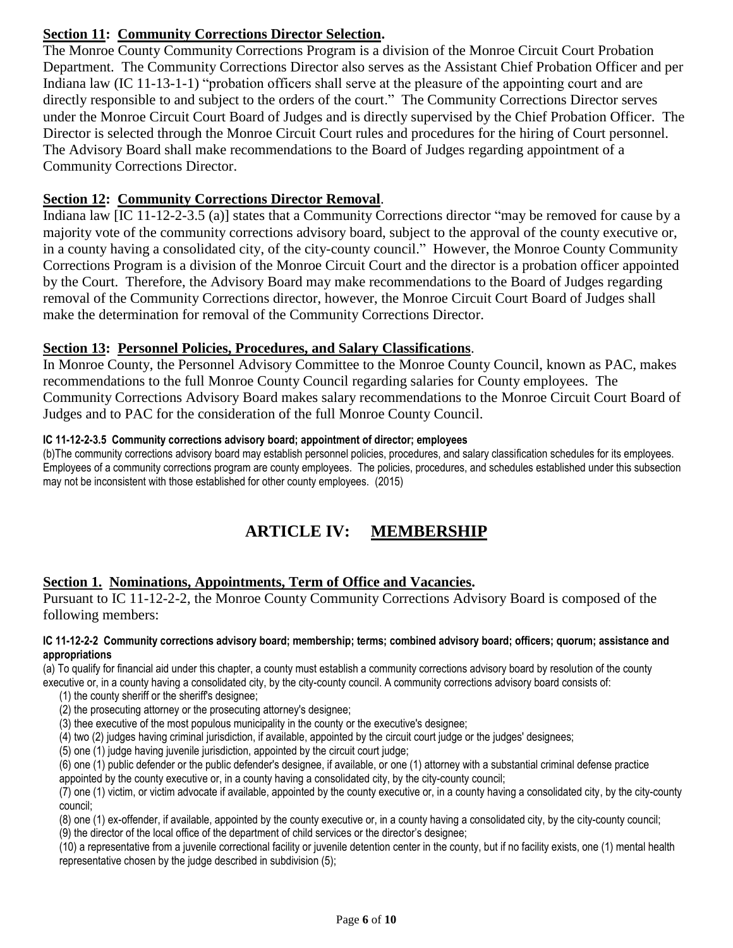## **Section 11: Community Corrections Director Selection.**

The Monroe County Community Corrections Program is a division of the Monroe Circuit Court Probation Department. The Community Corrections Director also serves as the Assistant Chief Probation Officer and per Indiana law (IC 11-13-1-1) "probation officers shall serve at the pleasure of the appointing court and are directly responsible to and subject to the orders of the court." The Community Corrections Director serves under the Monroe Circuit Court Board of Judges and is directly supervised by the Chief Probation Officer. The Director is selected through the Monroe Circuit Court rules and procedures for the hiring of Court personnel. The Advisory Board shall make recommendations to the Board of Judges regarding appointment of a Community Corrections Director.

## **Section 12: Community Corrections Director Removal**.

Indiana law [IC 11-12-2-3.5 (a)] states that a Community Corrections director "may be removed for cause by a majority vote of the community corrections advisory board, subject to the approval of the county executive or, in a county having a consolidated city, of the city-county council." However, the Monroe County Community Corrections Program is a division of the Monroe Circuit Court and the director is a probation officer appointed by the Court. Therefore, the Advisory Board may make recommendations to the Board of Judges regarding removal of the Community Corrections director, however, the Monroe Circuit Court Board of Judges shall make the determination for removal of the Community Corrections Director.

## **Section 13: Personnel Policies, Procedures, and Salary Classifications**.

In Monroe County, the Personnel Advisory Committee to the Monroe County Council, known as PAC, makes recommendations to the full Monroe County Council regarding salaries for County employees. The Community Corrections Advisory Board makes salary recommendations to the Monroe Circuit Court Board of Judges and to PAC for the consideration of the full Monroe County Council.

## **IC 11-12-2-3.5 Community corrections advisory board; appointment of director; employees**

(b)The community corrections advisory board may establish personnel policies, procedures, and salary classification schedules for its employees. Employees of a community corrections program are county employees. The policies, procedures, and schedules established under this subsection may not be inconsistent with those established for other county employees. (2015)

# **ARTICLE IV: MEMBERSHIP**

## **Section 1. Nominations, Appointments, Term of Office and Vacancies.**

Pursuant to IC 11-12-2-2, the Monroe County Community Corrections Advisory Board is composed of the following members:

#### **IC 11-12-2-2 Community corrections advisory board; membership; terms; combined advisory board; officers; quorum; assistance and appropriations**

(a) To qualify for financial aid under this chapter, a county must establish a community corrections advisory board by resolution of the county executive or, in a county having a consolidated city, by the city-county council. A community corrections advisory board consists of:

(1) the county sheriff or the sheriff's designee;

(2) the prosecuting attorney or the prosecuting attorney's designee;

(3) thee executive of the most populous municipality in the county or the executive's designee;

(4) two (2) judges having criminal jurisdiction, if available, appointed by the circuit court judge or the judges' designees;

(5) one (1) judge having juvenile jurisdiction, appointed by the circuit court judge;

(6) one (1) public defender or the public defender's designee, if available, or one (1) attorney with a substantial criminal defense practice

appointed by the county executive or, in a county having a consolidated city, by the city-county council;

(7) one (1) victim, or victim advocate if available, appointed by the county executive or, in a county having a consolidated city, by the city-county council;

(8) one (1) ex-offender, if available, appointed by the county executive or, in a county having a consolidated city, by the city-county council;

(9) the director of the local office of the department of child services or the director's designee;

(10) a representative from a juvenile correctional facility or juvenile detention center in the county, but if no facility exists, one (1) mental health representative chosen by the judge described in subdivision (5);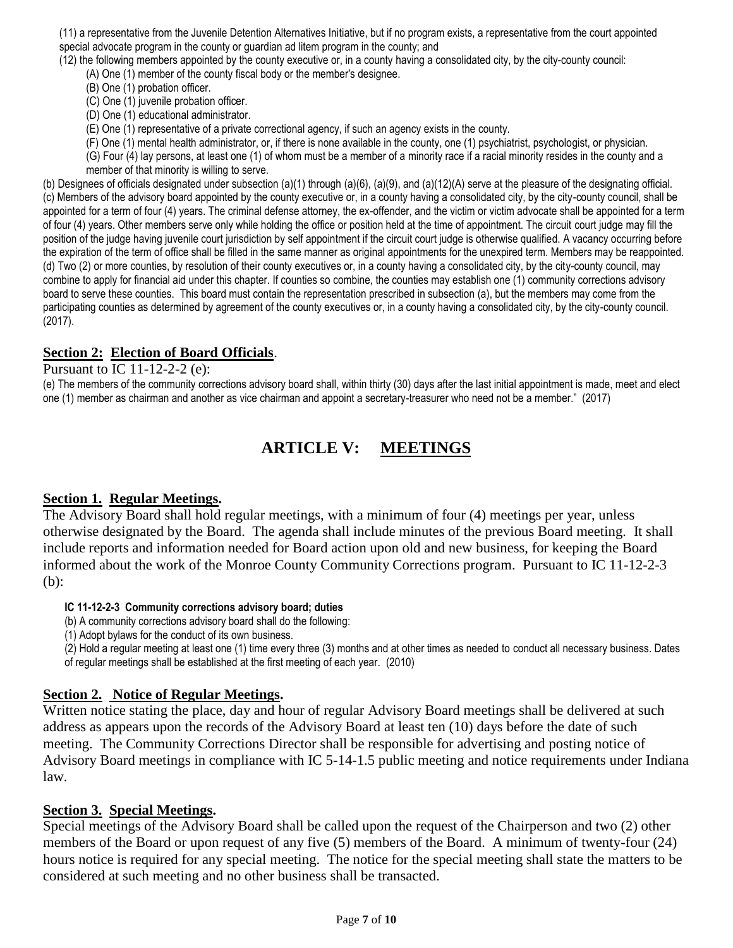(11) a representative from the Juvenile Detention Alternatives Initiative, but if no program exists, a representative from the court appointed special advocate program in the county or guardian ad litem program in the county; and

(12) the following members appointed by the county executive or, in a county having a consolidated city, by the city-county council: (A) One (1) member of the county fiscal body or the member's designee.

(B) One (1) probation officer.

(C) One (1) juvenile probation officer.

(D) One (1) educational administrator.

(E) One (1) representative of a private correctional agency, if such an agency exists in the county.

(F) One (1) mental health administrator, or, if there is none available in the county, one (1) psychiatrist, psychologist, or physician.

(G) Four (4) lay persons, at least one (1) of whom must be a member of a minority race if a racial minority resides in the county and a member of that minority is willing to serve.

(b) Designees of officials designated under subsection (a)(1) through (a)(6), (a)(9), and (a)(12)(A) serve at the pleasure of the designating official. (c) Members of the advisory board appointed by the county executive or, in a county having a consolidated city, by the city-county council, shall be appointed for a term of four (4) years. The criminal defense attorney, the ex-offender, and the victim or victim advocate shall be appointed for a term of four (4) years. Other members serve only while holding the office or position held at the time of appointment. The circuit court judge may fill the position of the judge having juvenile court jurisdiction by self appointment if the circuit court judge is otherwise qualified. A vacancy occurring before the expiration of the term of office shall be filled in the same manner as original appointments for the unexpired term. Members may be reappointed. (d) Two (2) or more counties, by resolution of their county executives or, in a county having a consolidated city, by the city-county council, may combine to apply for financial aid under this chapter. If counties so combine, the counties may establish one (1) community corrections advisory board to serve these counties. This board must contain the representation prescribed in subsection (a), but the members may come from the participating counties as determined by agreement of the county executives or, in a county having a consolidated city, by the city-county council. (2017).

## **Section 2: Election of Board Officials**.

Pursuant to IC 11-12-2-2 (e):

(e) The members of the community corrections advisory board shall, within thirty (30) days after the last initial appointment is made, meet and elect one (1) member as chairman and another as vice chairman and appoint a secretary-treasurer who need not be a member." (2017)

## **ARTICLE V: MEETINGS**

## **Section 1. Regular Meetings.**

The Advisory Board shall hold regular meetings, with a minimum of four (4) meetings per year, unless otherwise designated by the Board. The agenda shall include minutes of the previous Board meeting. It shall include reports and information needed for Board action upon old and new business, for keeping the Board informed about the work of the Monroe County Community Corrections program. Pursuant to IC 11-12-2-3 (b):

**IC 11-12-2-3 Community corrections advisory board; duties**

(b) A community corrections advisory board shall do the following:

(1) Adopt bylaws for the conduct of its own business.

(2) Hold a regular meeting at least one (1) time every three (3) months and at other times as needed to conduct all necessary business. Dates of regular meetings shall be established at the first meeting of each year. (2010)

## **Section 2. Notice of Regular Meetings.**

Written notice stating the place, day and hour of regular Advisory Board meetings shall be delivered at such address as appears upon the records of the Advisory Board at least ten (10) days before the date of such meeting. The Community Corrections Director shall be responsible for advertising and posting notice of Advisory Board meetings in compliance with IC 5-14-1.5 public meeting and notice requirements under Indiana law.

## **Section 3. Special Meetings.**

Special meetings of the Advisory Board shall be called upon the request of the Chairperson and two (2) other members of the Board or upon request of any five (5) members of the Board. A minimum of twenty-four (24) hours notice is required for any special meeting. The notice for the special meeting shall state the matters to be considered at such meeting and no other business shall be transacted.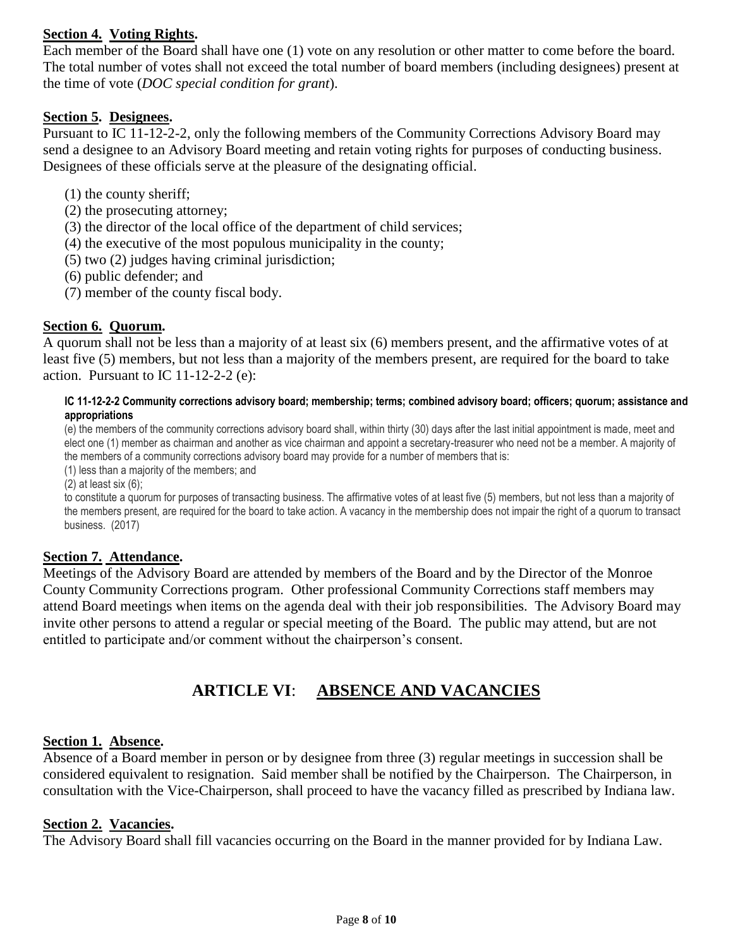## **Section 4. Voting Rights.**

Each member of the Board shall have one (1) vote on any resolution or other matter to come before the board. The total number of votes shall not exceed the total number of board members (including designees) present at the time of vote (*DOC special condition for grant*).

### **Section 5. Designees.**

Pursuant to IC 11-12-2-2, only the following members of the Community Corrections Advisory Board may send a designee to an Advisory Board meeting and retain voting rights for purposes of conducting business. Designees of these officials serve at the pleasure of the designating official.

- (1) the county sheriff;
- (2) the prosecuting attorney;
- (3) the director of the local office of the department of child services;
- (4) the executive of the most populous municipality in the county;
- (5) two (2) judges having criminal jurisdiction;
- (6) public defender; and
- (7) member of the county fiscal body.

## **Section 6. Quorum.**

A quorum shall not be less than a majority of at least six (6) members present, and the affirmative votes of at least five (5) members, but not less than a majority of the members present, are required for the board to take action. Pursuant to IC 11-12-2-2 (e):

#### **IC 11-12-2-2 Community corrections advisory board; membership; terms; combined advisory board; officers; quorum; assistance and appropriations**

(e) the members of the community corrections advisory board shall, within thirty (30) days after the last initial appointment is made, meet and elect one (1) member as chairman and another as vice chairman and appoint a secretary-treasurer who need not be a member. A majority of the members of a community corrections advisory board may provide for a number of members that is:

(1) less than a majority of the members; and

 $(2)$  at least six  $(6)$ ;

to constitute a quorum for purposes of transacting business. The affirmative votes of at least five (5) members, but not less than a majority of the members present, are required for the board to take action. A vacancy in the membership does not impair the right of a quorum to transact business. (2017)

### **Section 7. Attendance.**

Meetings of the Advisory Board are attended by members of the Board and by the Director of the Monroe County Community Corrections program. Other professional Community Corrections staff members may attend Board meetings when items on the agenda deal with their job responsibilities. The Advisory Board may invite other persons to attend a regular or special meeting of the Board. The public may attend, but are not entitled to participate and/or comment without the chairperson's consent.

## **ARTICLE VI**: **ABSENCE AND VACANCIES**

### **Section 1. Absence.**

Absence of a Board member in person or by designee from three (3) regular meetings in succession shall be considered equivalent to resignation. Said member shall be notified by the Chairperson. The Chairperson, in consultation with the Vice-Chairperson, shall proceed to have the vacancy filled as prescribed by Indiana law.

### **Section 2. Vacancies.**

The Advisory Board shall fill vacancies occurring on the Board in the manner provided for by Indiana Law.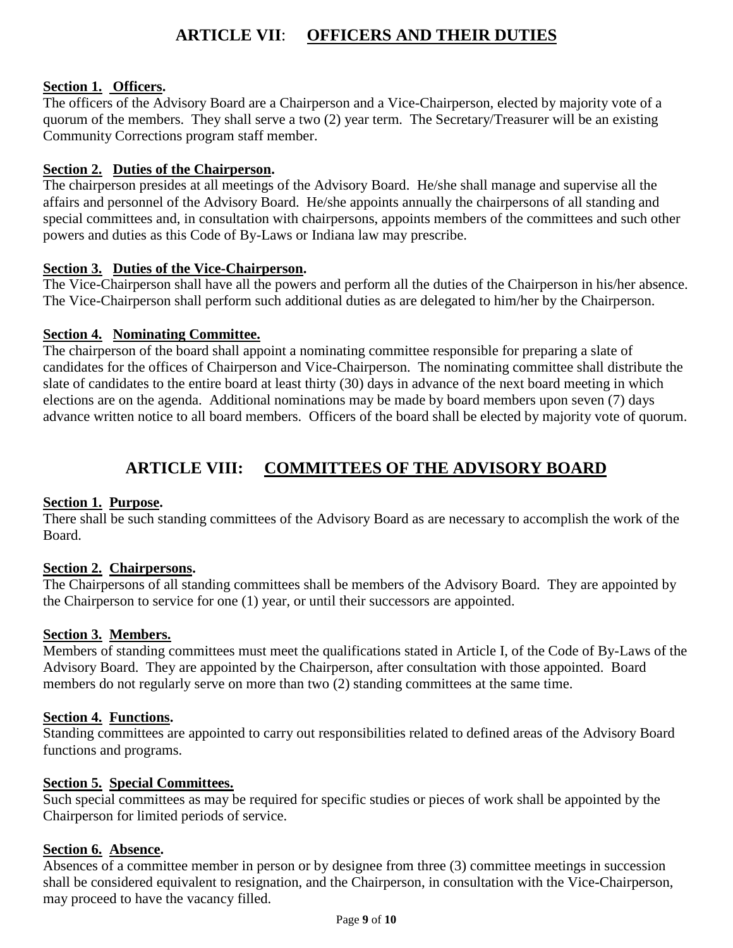## **ARTICLE VII**: **OFFICERS AND THEIR DUTIES**

## **Section 1. Officers.**

The officers of the Advisory Board are a Chairperson and a Vice-Chairperson, elected by majority vote of a quorum of the members. They shall serve a two (2) year term. The Secretary/Treasurer will be an existing Community Corrections program staff member.

## **Section 2. Duties of the Chairperson.**

The chairperson presides at all meetings of the Advisory Board. He/she shall manage and supervise all the affairs and personnel of the Advisory Board. He/she appoints annually the chairpersons of all standing and special committees and, in consultation with chairpersons, appoints members of the committees and such other powers and duties as this Code of By-Laws or Indiana law may prescribe.

## **Section 3. Duties of the Vice-Chairperson.**

The Vice-Chairperson shall have all the powers and perform all the duties of the Chairperson in his/her absence. The Vice-Chairperson shall perform such additional duties as are delegated to him/her by the Chairperson.

## **Section 4. Nominating Committee.**

The chairperson of the board shall appoint a nominating committee responsible for preparing a slate of candidates for the offices of Chairperson and Vice-Chairperson. The nominating committee shall distribute the slate of candidates to the entire board at least thirty (30) days in advance of the next board meeting in which elections are on the agenda. Additional nominations may be made by board members upon seven (7) days advance written notice to all board members. Officers of the board shall be elected by majority vote of quorum.

## **ARTICLE VIII: COMMITTEES OF THE ADVISORY BOARD**

## **Section 1. Purpose.**

There shall be such standing committees of the Advisory Board as are necessary to accomplish the work of the Board.

## **Section 2. Chairpersons.**

The Chairpersons of all standing committees shall be members of the Advisory Board. They are appointed by the Chairperson to service for one (1) year, or until their successors are appointed.

## **Section 3. Members.**

Members of standing committees must meet the qualifications stated in Article I, of the Code of By-Laws of the Advisory Board. They are appointed by the Chairperson, after consultation with those appointed. Board members do not regularly serve on more than two (2) standing committees at the same time.

## **Section 4. Functions.**

Standing committees are appointed to carry out responsibilities related to defined areas of the Advisory Board functions and programs.

## **Section 5. Special Committees.**

Such special committees as may be required for specific studies or pieces of work shall be appointed by the Chairperson for limited periods of service.

## **Section 6. Absence.**

Absences of a committee member in person or by designee from three (3) committee meetings in succession shall be considered equivalent to resignation, and the Chairperson, in consultation with the Vice-Chairperson, may proceed to have the vacancy filled.